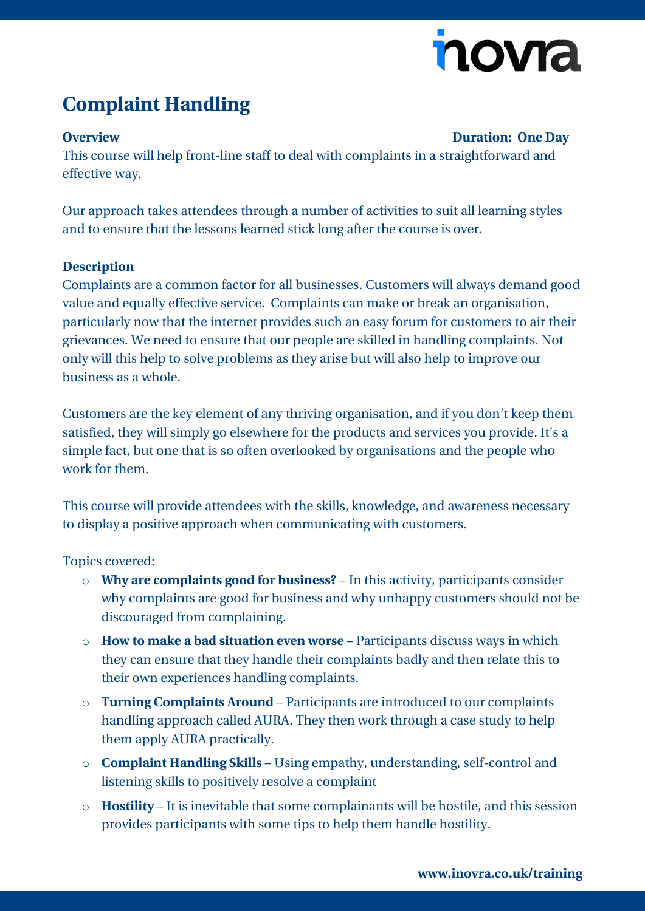# nova

## **Complaint Handling**

#### **Overview Duration: One Day**

This course will help front-line staff to deal with complaints in a straightforward and effective way.

Our approach takes attendees through a number of activities to suit all learning styles and to ensure that the lessons learned stick long after the course is over.

### **Description**

Complaints are a common factor for all businesses. Customers will always demand good value and equally effective service. Complaints can make or break an organisation, particularly now that the internet provides such an easy forum for customers to air their grievances. We need to ensure that our people are skilled in handling complaints. Not only will this help to solve problems as they arise but will also help to improve our business as a whole.

Customers are the key element of any thriving organisation, and if you don't keep them satisfied, they will simply go elsewhere for the products and services you provide. It's a simple fact, but one that is so often overlooked by organisations and the people who work for them.

This course will provide attendees with the skills, knowledge, and awareness necessary to display a positive approach when communicating with customers.

Topics covered:

- o **Why are complaints good for business?** In this activity, participants consider why complaints are good for business and why unhappy customers should not be discouraged from complaining.
- o **How to make a bad situation even worse** Participants discuss ways in which they can ensure that they handle their complaints badly and then relate this to their own experiences handling complaints.
- o **Turning Complaints Around** Participants are introduced to our complaints handling approach called AURA. They then work through a case study to help them apply AURA practically.
- o **Complaint Handling Skills** Using empathy, understanding, self-control and listening skills to positively resolve a complaint
- o **Hostility** It is inevitable that some complainants will be hostile, and this session provides participants with some tips to help them handle hostility.